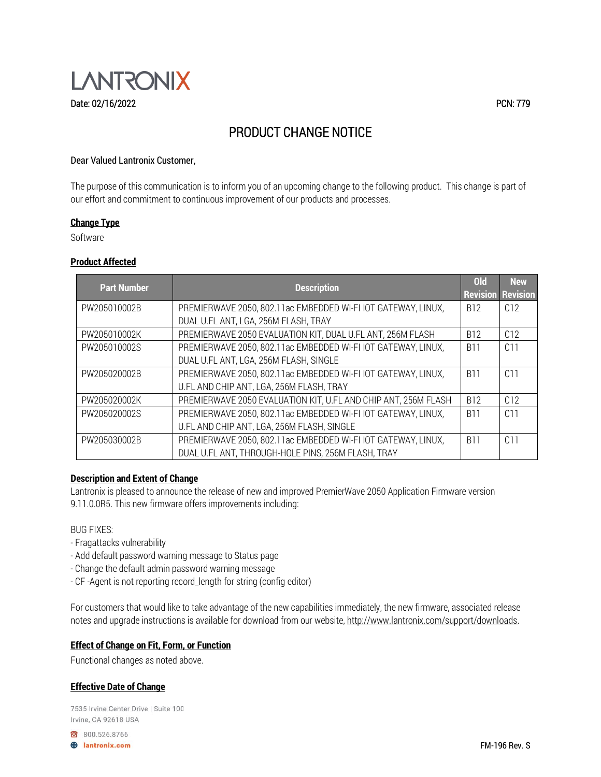

### Dear Valued Lantronix Customer,

The purpose of this communication is to inform you of an upcoming change to the following product. This change is part of our effort and commitment to continuous improvement of our products and processes.

#### **Change Type**

Software

## **Product Affected**

| <b>Part Number</b> | <b>Description</b>                                             | <b>Old</b> | <b>New</b><br><b>Revision Revision</b> |
|--------------------|----------------------------------------------------------------|------------|----------------------------------------|
| PW205010002B       | PREMIERWAVE 2050, 802.11ac EMBEDDED WI-FI IOT GATEWAY, LINUX,  | <b>B12</b> | C12                                    |
|                    | DUAL U.FL ANT, LGA, 256M FLASH, TRAY                           |            |                                        |
| PW205010002K       | PREMIERWAVE 2050 EVALUATION KIT, DUAL U.FL ANT, 256M FLASH     | <b>B12</b> | C12                                    |
| PW205010002S       | PREMIERWAVE 2050, 802.11ac EMBEDDED WI-FI IOT GATEWAY, LINUX,  | <b>B11</b> | C11                                    |
|                    | DUAL U.FL ANT, LGA, 256M FLASH, SINGLE                         |            |                                        |
| PW205020002B       | PREMIERWAVE 2050, 802.11ac EMBEDDED WI-FI IOT GATEWAY, LINUX,  | <b>B11</b> | C1                                     |
|                    | U.FL AND CHIP ANT, LGA, 256M FLASH, TRAY                       |            |                                        |
| PW205020002K       | PREMIERWAVE 2050 EVALUATION KIT, U.FL AND CHIP ANT, 256M FLASH | <b>B12</b> | C12                                    |
| PW205020002S       | PREMIERWAVE 2050, 802.11ac EMBEDDED WI-FI IOT GATEWAY, LINUX,  | <b>B11</b> | C <sub>11</sub>                        |
|                    | U.FL AND CHIP ANT, LGA, 256M FLASH, SINGLE                     |            |                                        |
| PW205030002B       | PREMIERWAVE 2050, 802.11ac EMBEDDED WI-FI IOT GATEWAY, LINUX,  | <b>B11</b> | C11                                    |
|                    | DUAL U.FL ANT, THROUGH-HOLE PINS, 256M FLASH, TRAY             |            |                                        |

#### **Description and Extent of Change**

Lantronix is pleased to announce the release of new and improved PremierWave 2050 Application Firmware version 9.11.0.0R5. This new firmware offers improvements including:

## BUG FIXES:

- Fragattacks vulnerability
- Add default password warning message to Status page
- Change the default admin password warning message
- CF -Agent is not reporting record\_length for string (config editor)

For customers that would like to take advantage of the new capabilities immediately, the new firmware, associated release notes and upgrade instructions is available for download from our website, [http://www.lantronix.com/support/downloads.](http://www.lantronix.com/support/downloads)

#### **Effect of Change on Fit, Form, or Function**

Functional changes as noted above.

# **Effective Date of Change**

7535 Irvine Center Drive | Suite 100 Irvine, CA 92618 USA

800.526.8766 **B** lantronix.com